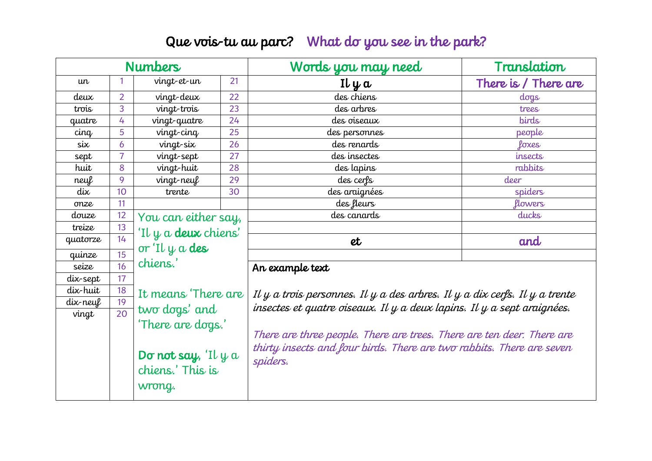## Que vois-tu au parc? What do you see in the park?

| <b>Numbers</b> |                |                                                                |    | Words you may need                                                                                                                                                   | Translation          |
|----------------|----------------|----------------------------------------------------------------|----|----------------------------------------------------------------------------------------------------------------------------------------------------------------------|----------------------|
| un             |                | vingt et un                                                    | 21 | Il y a                                                                                                                                                               | There is / There are |
| deux           | $\overline{2}$ | vingt-deux                                                     | 22 | des chiens                                                                                                                                                           | dogs                 |
| trois          | 3              | vingt-trois                                                    | 23 | des arbres                                                                                                                                                           | trees                |
| quatre         | 4              | vingt-quatre                                                   | 24 | des oiseaux                                                                                                                                                          | birds                |
| cinq           | 5              | vingt-cinq                                                     | 25 | des personnes                                                                                                                                                        | people               |
| $\mathsf{six}$ | 6              | vingt-six                                                      | 26 | des renards                                                                                                                                                          | loxes                |
| sept           | $\overline{7}$ | vingt-sept                                                     | 27 | des insectes                                                                                                                                                         | insects              |
| huit           | 8              | vingt huit                                                     | 28 | des lapins                                                                                                                                                           | rabbits              |
| neuf           | 9              | vingt-neuf                                                     | 29 | des cerfs                                                                                                                                                            | deer                 |
| dix            | 10             | trente                                                         | 30 | des araignées                                                                                                                                                        | spiders              |
| onze           | 11             |                                                                |    | des fleurs                                                                                                                                                           | <i>flowers</i>       |
| douze          | 12             | You can either say,                                            |    | des canards                                                                                                                                                          | ducks                |
| treize         | 13             | 'Il y a <b>deux</b> chiens'<br>or 'Il $\psi$ a des<br>chiens.' |    |                                                                                                                                                                      |                      |
| quatorze       | 14             |                                                                |    | et                                                                                                                                                                   | and                  |
| quinze         | 15             |                                                                |    |                                                                                                                                                                      |                      |
| seize          | 16             |                                                                |    | An example text                                                                                                                                                      |                      |
| dix-sept       | 17             |                                                                |    |                                                                                                                                                                      |                      |
| dix-huit       | 18             | It means 'There are<br>two dogs' and<br>'There are dogs.'      |    | Il $\mu$ a trois personnes. Il $\mu$ a des arbres. Il $\mu$ a dix cerfs. Il $\mu$ a trente<br>insectes et quatre oiseaux. Il y a deux lapins. Il y a sept araignées. |                      |
| dix-neuf       | 19             |                                                                |    |                                                                                                                                                                      |                      |
| vingt          | 20             |                                                                |    |                                                                                                                                                                      |                      |
|                |                |                                                                |    |                                                                                                                                                                      |                      |
|                |                |                                                                |    | There are three people. There are trees. There are ten deer. There are<br>thirty insects and four birds. There are two rabbits. There are seven<br>spiders.          |                      |
|                |                | Do not say, 'Il $\psi$ a<br>chiens.' This is                   |    |                                                                                                                                                                      |                      |
|                |                |                                                                |    |                                                                                                                                                                      |                      |
|                |                |                                                                |    |                                                                                                                                                                      |                      |
|                |                | wrong.                                                         |    |                                                                                                                                                                      |                      |
|                |                |                                                                |    |                                                                                                                                                                      |                      |